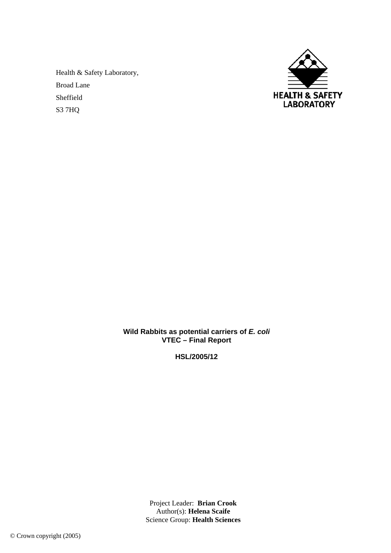Health & Safety Laboratory, Broad Lane Sheffield S3 7HQ



**Wild Rabbits as potential carriers of** *E. coli*  **VTEC – Final Report** 

**HSL/2005/12** 

Project Leader: **Brian Crook**  Author(s): **Helena Scaife**  Science Group: **Health Sciences**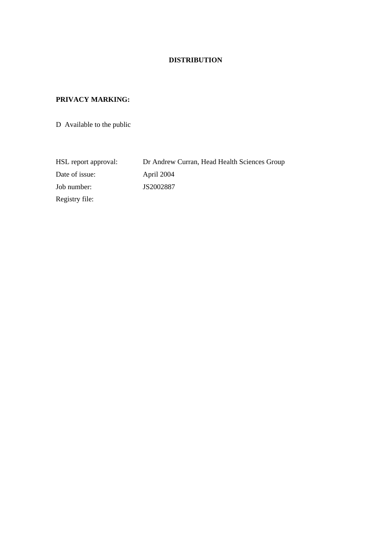# **DISTRIBUTION**

# **PRIVACY MARKING:**

D Available to the public

HSL report approval: Dr Andrew Curran, Head Health Sciences Group Date of issue: April 2004 Job number: JS2002887 Registry file: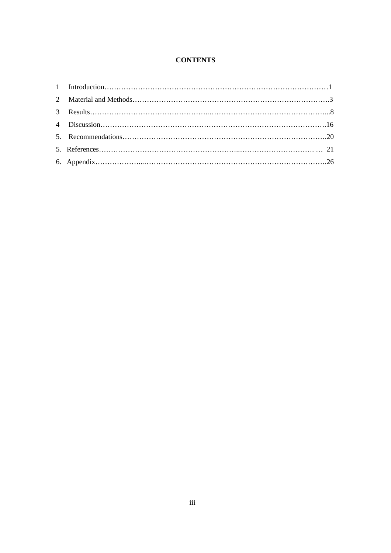# **CONTENTS**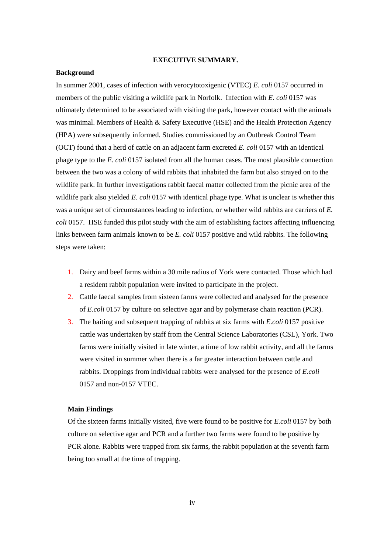### **EXECUTIVE SUMMARY.**

### **Background**

In summer 2001, cases of infection with verocytotoxigenic (VTEC) *E. coli* 0157 occurred in members of the public visiting a wildlife park in Norfolk. Infection with *E. coli* 0157 was ultimately determined to be associated with visiting the park, however contact with the animals was minimal. Members of Health & Safety Executive (HSE) and the Health Protection Agency (HPA) were subsequently informed. Studies commissioned by an Outbreak Control Team (OCT) found that a herd of cattle on an adjacent farm excreted *E. coli* 0157 with an identical phage type to the *E. coli* 0157 isolated from all the human cases. The most plausible connection between the two was a colony of wild rabbits that inhabited the farm but also strayed on to the wildlife park. In further investigations rabbit faecal matter collected from the picnic area of the wildlife park also yielded *E. coli* 0157 with identical phage type. What is unclear is whether this was a unique set of circumstances leading to infection, or whether wild rabbits are carriers of *E. coli* 0157. HSE funded this pilot study with the aim of establishing factors affecting influencing links between farm animals known to be *E. coli* 0157 positive and wild rabbits. The following steps were taken:

- 1. Dairy and beef farms within a 30 mile radius of York were contacted. Those which had a resident rabbit population were invited to participate in the project.
- 2. Cattle faecal samples from sixteen farms were collected and analysed for the presence of *E.coli* 0157 by culture on selective agar and by polymerase chain reaction (PCR).
- 3. The baiting and subsequent trapping of rabbits at six farms with *E.coli* 0157 positive cattle was undertaken by staff from the Central Science Laboratories (CSL), York. Two farms were initially visited in late winter, a time of low rabbit activity, and all the farms were visited in summer when there is a far greater interaction between cattle and rabbits. Droppings from individual rabbits were analysed for the presence of *E.coli* 0157 and non-0157 VTEC.

### **Main Findings**

Of the sixteen farms initially visited, five were found to be positive for *E.coli* 0157 by both culture on selective agar and PCR and a further two farms were found to be positive by PCR alone. Rabbits were trapped from six farms, the rabbit population at the seventh farm being too small at the time of trapping.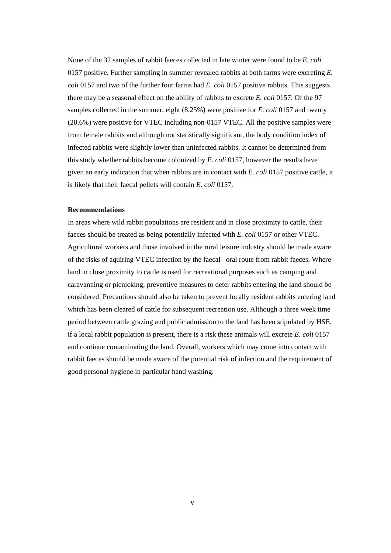None of the 32 samples of rabbit faeces collected in late winter were found to be *E. coli* 0157 positive. Further sampling in summer revealed rabbits at both farms were excreting *E. coli* 0157 and two of the further four farms had *E. coli* 0157 positive rabbits. This suggests there may be a seasonal effect on the ability of rabbits to excrete *E. coli* 0157. Of the 97 samples collected in the summer, eight (8.25%) were positive for *E. coli* 0157 and twenty (20.6%) were positive for VTEC including non-0157 VTEC. All the positive samples were from female rabbits and although not statistically significant, the body condition index of infected rabbits were slightly lower than uninfected rabbits. It cannot be determined from this study whether rabbits become colonized by *E. coli* 0157, however the results have given an early indication that when rabbits are in contact with *E. coli* 0157 positive cattle, it is likely that their faecal pellets will contain *E. coli* 0157.

### **Recommendations**

In areas where wild rabbit populations are resident and in close proximity to cattle, their faeces should be treated as being potentially infected with *E. coli* 0157 or other VTEC. Agricultural workers and those involved in the rural leisure industry should be made aware of the risks of aquiring VTEC infection by the faecal –oral route from rabbit faeces. Where land in close proximity to cattle is used for recreational purposes such as camping and caravanning or picnicking, preventive measures to deter rabbits entering the land should be considered. Precautions should also be taken to prevent locally resident rabbits entering land which has been cleared of cattle for subsequent recreation use. Although a three week time period between cattle grazing and public admission to the land has been stipulated by HSE, if a local rabbit population is present, there is a risk these animals will excrete *E. coli* 0157 and continue contaminating the land. Overall, workers which may come into contact with rabbit faeces should be made aware of the potential risk of infection and the requirement of good personal hygiene in particular hand washing.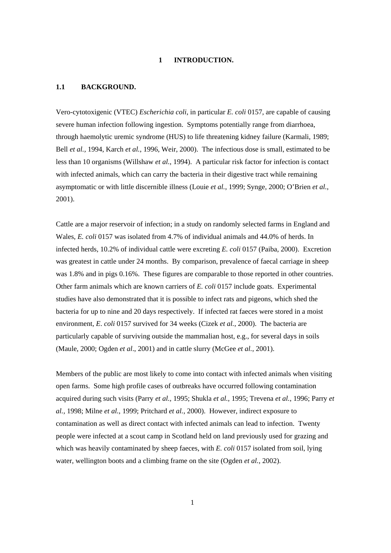### **1 INTRODUCTION.**

### **1.1 BACKGROUND.**

Vero-cytotoxigenic (VTEC) *Escherichia coli*, in particular *E. coli* 0157, are capable of causing severe human infection following ingestion. Symptoms potentially range from diarrhoea, through haemolytic uremic syndrome (HUS) to life threatening kidney failure (Karmali, 1989; Bell *et al.,* 1994, Karch *et al.*, 1996, Weir, 2000). The infectious dose is small, estimated to be less than 10 organisms (Willshaw *et al.*, 1994). A particular risk factor for infection is contact with infected animals, which can carry the bacteria in their digestive tract while remaining asymptomatic or with little discernible illness (Louie *et al.*, 1999; Synge, 2000; O'Brien *et al.*, 2001).

Cattle are a major reservoir of infection; in a study on randomly selected farms in England and Wales, *E. coli* 0157 was isolated from 4.7% of individual animals and 44.0% of herds. In infected herds, 10.2% of individual cattle were excreting *E. coli* 0157 (Paiba, 2000). Excretion was greatest in cattle under 24 months. By comparison, prevalence of faecal carriage in sheep was 1.8% and in pigs 0.16%. These figures are comparable to those reported in other countries. Other farm animals which are known carriers of *E. coli* 0157 include goats. Experimental studies have also demonstrated that it is possible to infect rats and pigeons, which shed the bacteria for up to nine and 20 days respectively. If infected rat faeces were stored in a moist environment, *E*. *coli* 0157 survived for 34 weeks (Cizek *et al.*, 2000). The bacteria are particularly capable of surviving outside the mammalian host, e.g., for several days in soils (Maule, 2000; Ogden *et al*., 2001) and in cattle slurry (McGee *et al.*, 2001).

Members of the public are most likely to come into contact with infected animals when visiting open farms. Some high profile cases of outbreaks have occurred following contamination acquired during such visits (Parry *et al.,* 1995; Shukla *et al.,* 1995; Trevena *et al.*, 1996; Parry *et al.,* 1998; Milne *et al.*, 1999; Pritchard *et al.*, 2000). However, indirect exposure to contamination as well as direct contact with infected animals can lead to infection. Twenty people were infected at a scout camp in Scotland held on land previously used for grazing and which was heavily contaminated by sheep faeces, with *E. coli* 0157 isolated from soil, lying water, wellington boots and a climbing frame on the site (Ogden *et al.*, 2002).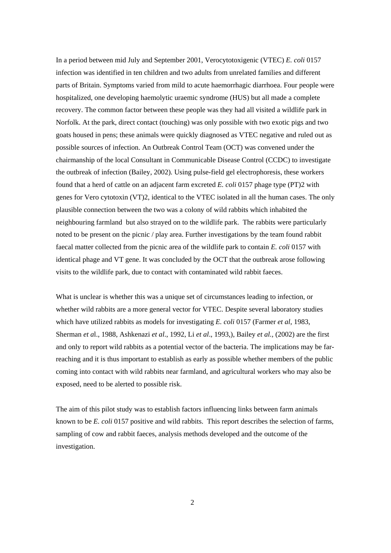In a period between mid July and September 2001, Verocytotoxigenic (VTEC) *E. coli* 0157 infection was identified in ten children and two adults from unrelated families and different parts of Britain. Symptoms varied from mild to acute haemorrhagic diarrhoea. Four people were hospitalized, one developing haemolytic uraemic syndrome (HUS) but all made a complete recovery. The common factor between these people was they had all visited a wildlife park in Norfolk. At the park, direct contact (touching) was only possible with two exotic pigs and two goats housed in pens; these animals were quickly diagnosed as VTEC negative and ruled out as possible sources of infection. An Outbreak Control Team (OCT) was convened under the chairmanship of the local Consultant in Communicable Disease Control (CCDC) to investigate the outbreak of infection (Bailey, 2002). Using pulse-field gel electrophoresis, these workers found that a herd of cattle on an adjacent farm excreted *E. coli* 0157 phage type (PT)2 with genes for Vero cytotoxin (VT)2, identical to the VTEC isolated in all the human cases. The only plausible connection between the two was a colony of wild rabbits which inhabited the neighbouring farmland but also strayed on to the wildlife park. The rabbits were particularly noted to be present on the picnic / play area. Further investigations by the team found rabbit faecal matter collected from the picnic area of the wildlife park to contain *E. coli* 0157 with identical phage and VT gene. It was concluded by the OCT that the outbreak arose following visits to the wildlife park, due to contact with contaminated wild rabbit faeces.

What is unclear is whether this was a unique set of circumstances leading to infection, or whether wild rabbits are a more general vector for VTEC. Despite several laboratory studies which have utilized rabbits as models for investigating *E. coli* 0157 (Farmer *et al*, 1983, Sherman *et a*l., 1988, Ashkenazi *et al*., 1992, Li *et al*., 1993,), Bailey *et al.,* (2002) are the first and only to report wild rabbits as a potential vector of the bacteria. The implications may be farreaching and it is thus important to establish as early as possible whether members of the public coming into contact with wild rabbits near farmland, and agricultural workers who may also be exposed, need to be alerted to possible risk.

The aim of this pilot study was to establish factors influencing links between farm animals known to be *E. coli* 0157 positive and wild rabbits. This report describes the selection of farms, sampling of cow and rabbit faeces, analysis methods developed and the outcome of the investigation.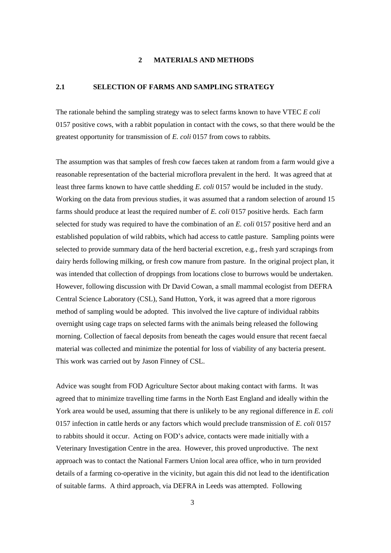### **2 MATERIALS AND METHODS**

### **2.1 SELECTION OF FARMS AND SAMPLING STRATEGY**

The rationale behind the sampling strategy was to select farms known to have VTEC *E coli* 0157 positive cows, with a rabbit population in contact with the cows, so that there would be the greatest opportunity for transmission of *E. coli* 0157 from cows to rabbits.

The assumption was that samples of fresh cow faeces taken at random from a farm would give a reasonable representation of the bacterial microflora prevalent in the herd. It was agreed that at least three farms known to have cattle shedding *E. coli* 0157 would be included in the study. Working on the data from previous studies, it was assumed that a random selection of around 15 farms should produce at least the required number of *E. coli* 0157 positive herds. Each farm selected for study was required to have the combination of an *E. coli* 0157 positive herd and an established population of wild rabbits, which had access to cattle pasture. Sampling points were selected to provide summary data of the herd bacterial excretion, e.g., fresh yard scrapings from dairy herds following milking, or fresh cow manure from pasture. In the original project plan, it was intended that collection of droppings from locations close to burrows would be undertaken. However, following discussion with Dr David Cowan, a small mammal ecologist from DEFRA Central Science Laboratory (CSL), Sand Hutton, York, it was agreed that a more rigorous method of sampling would be adopted. This involved the live capture of individual rabbits overnight using cage traps on selected farms with the animals being released the following morning. Collection of faecal deposits from beneath the cages would ensure that recent faecal material was collected and minimize the potential for loss of viability of any bacteria present. This work was carried out by Jason Finney of CSL.

Advice was sought from FOD Agriculture Sector about making contact with farms. It was agreed that to minimize travelling time farms in the North East England and ideally within the York area would be used, assuming that there is unlikely to be any regional difference in *E. coli* 0157 infection in cattle herds or any factors which would preclude transmission of *E. coli* 0157 to rabbits should it occur. Acting on FOD's advice, contacts were made initially with a Veterinary Investigation Centre in the area. However, this proved unproductive. The next approach was to contact the National Farmers Union local area office, who in turn provided details of a farming co-operative in the vicinity, but again this did not lead to the identification of suitable farms. A third approach, via DEFRA in Leeds was attempted. Following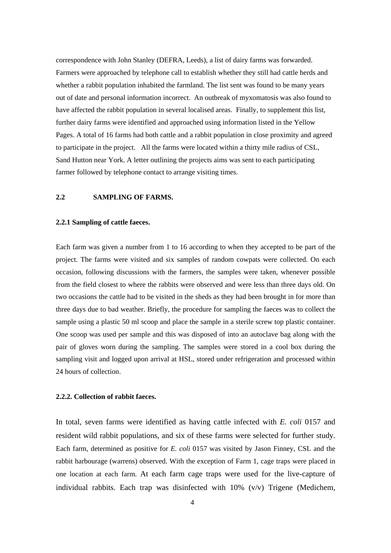correspondence with John Stanley (DEFRA, Leeds), a list of dairy farms was forwarded. Farmers were approached by telephone call to establish whether they still had cattle herds and whether a rabbit population inhabited the farmland. The list sent was found to be many years out of date and personal information incorrect. An outbreak of myxomatosis was also found to have affected the rabbit population in several localised areas. Finally, to supplement this list, further dairy farms were identified and approached using information listed in the Yellow Pages. A total of 16 farms had both cattle and a rabbit population in close proximity and agreed to participate in the project. All the farms were located within a thirty mile radius of CSL, Sand Hutton near York. A letter outlining the projects aims was sent to each participating farmer followed by telephone contact to arrange visiting times.

### **2.2 SAMPLING OF FARMS.**

### **2.2.1 Sampling of cattle faeces.**

Each farm was given a number from 1 to 16 according to when they accepted to be part of the project. The farms were visited and six samples of random cowpats were collected. On each occasion, following discussions with the farmers, the samples were taken, whenever possible from the field closest to where the rabbits were observed and were less than three days old. On two occasions the cattle had to be visited in the sheds as they had been brought in for more than three days due to bad weather. Briefly, the procedure for sampling the faeces was to collect the sample using a plastic 50 ml scoop and place the sample in a sterile screw top plastic container. One scoop was used per sample and this was disposed of into an autoclave bag along with the pair of gloves worn during the sampling. The samples were stored in a cool box during the sampling visit and logged upon arrival at HSL, stored under refrigeration and processed within 24 hours of collection.

#### **2.2.2. Collection of rabbit faeces.**

In total, seven farms were identified as having cattle infected with *E. coli* 0157 and resident wild rabbit populations, and six of these farms were selected for further study. Each farm, determined as positive for *E. coli* 0157 was visited by Jason Finney, CSL and the rabbit harbourage (warrens) observed. With the exception of Farm 1, cage traps were placed in one location at each farm. At each farm cage traps were used for the live-capture of individual rabbits. Each trap was disinfected with  $10\%$  (v/v) Trigene (Medichem,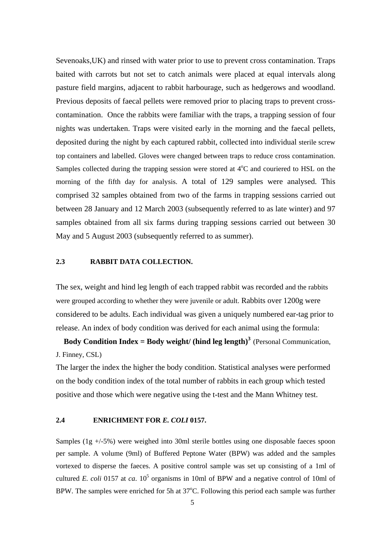Sevenoaks,UK) and rinsed with water prior to use to prevent cross contamination. Traps baited with carrots but not set to catch animals were placed at equal intervals along pasture field margins, adjacent to rabbit harbourage, such as hedgerows and woodland. Previous deposits of faecal pellets were removed prior to placing traps to prevent crosscontamination. Once the rabbits were familiar with the traps, a trapping session of four nights was undertaken. Traps were visited early in the morning and the faecal pellets, deposited during the night by each captured rabbit, collected into individual sterile screw top containers and labelled. Gloves were changed between traps to reduce cross contamination. Samples collected during the trapping session were stored at  $4^{\circ}$ C and couriered to HSL on the morning of the fifth day for analysis. A total of 129 samples were analysed. This comprised 32 samples obtained from two of the farms in trapping sessions carried out between 28 January and 12 March 2003 (subsequently referred to as late winter) and 97 samples obtained from all six farms during trapping sessions carried out between 30 May and 5 August 2003 (subsequently referred to as summer).

### **2.3 RABBIT DATA COLLECTION.**

The sex, weight and hind leg length of each trapped rabbit was recorded and the rabbits were grouped according to whether they were juvenile or adult. Rabbits over 1200g were considered to be adults. Each individual was given a uniquely numbered ear-tag prior to release. An index of body condition was derived for each animal using the formula:

**Body Condition Index = Body weight/ (hind leg length)<sup>3</sup> (Personal Communication,** J. Finney, CSL)

The larger the index the higher the body condition. Statistical analyses were performed on the body condition index of the total number of rabbits in each group which tested positive and those which were negative using the t-test and the Mann Whitney test.

### **2.4 ENRICHMENT FOR** *E. COLI* **0157.**

Samples (1g +/-5%) were weighed into 30ml sterile bottles using one disposable faeces spoon per sample. A volume (9ml) of Buffered Peptone Water (BPW) was added and the samples vortexed to disperse the faeces. A positive control sample was set up consisting of a 1ml of cultured *E. coli* 0157 at *ca.*  $10^5$  organisms in 10ml of BPW and a negative control of 10ml of BPW. The samples were enriched for 5h at  $37^{\circ}$ C. Following this period each sample was further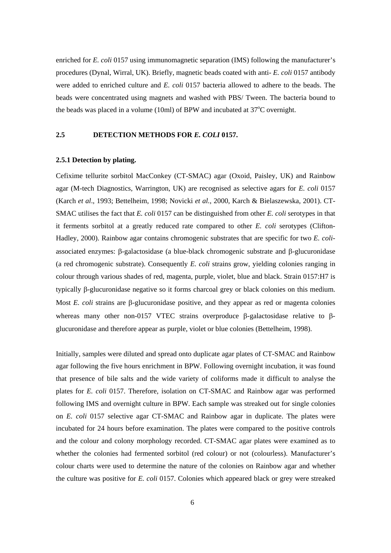enriched for *E. coli* 0157 using immunomagnetic separation (IMS) following the manufacturer's procedures (Dynal, Wirral, UK). Briefly, magnetic beads coated with anti- *E. coli* 0157 antibody were added to enriched culture and *E. coli* 0157 bacteria allowed to adhere to the beads. The beads were concentrated using magnets and washed with PBS/ Tween. The bacteria bound to the beads was placed in a volume  $(10ml)$  of BPW and incubated at 37 $\mathrm{^{\circ}C}$  overnight.

### **2.5 DETECTION METHODS FOR** *E. COLI* **0157.**

### **2.5.1 Detection by plating.**

Cefixime tellurite sorbitol MacConkey (CT-SMAC) agar (Oxoid, Paisley, UK) and Rainbow agar (M-tech Diagnostics, Warrington, UK) are recognised as selective agars for *E. coli* 0157 (Karch *et al*., 1993; Bettelheim, 1998; Novicki *et al.,* 2000, Karch & Bielaszewska, 2001). CT-SMAC utilises the fact that *E. coli* 0157 can be distinguished from other *E. coli* serotypes in that it ferments sorbitol at a greatly reduced rate compared to other *E. coli* serotypes (Clifton-Hadley, 2000). Rainbow agar contains chromogenic substrates that are specific for two *E. coli*associated enzymes: β-galactosidase (a blue-black chromogenic substrate and β-glucuronidase (a red chromogenic substrate). Consequently *E. coli* strains grow, yielding colonies ranging in colour through various shades of red, magenta, purple, violet, blue and black. Strain 0157:H7 is typically β-glucuronidase negative so it forms charcoal grey or black colonies on this medium. Most *E. coli* strains are β-glucuronidase positive, and they appear as red or magenta colonies whereas many other non-0157 VTEC strains overproduce β-galactosidase relative to βglucuronidase and therefore appear as purple, violet or blue colonies (Bettelheim, 1998).

Initially, samples were diluted and spread onto duplicate agar plates of CT-SMAC and Rainbow agar following the five hours enrichment in BPW. Following overnight incubation, it was found that presence of bile salts and the wide variety of coliforms made it difficult to analyse the plates for *E. coli* 0157. Therefore, isolation on CT-SMAC and Rainbow agar was performed following IMS and overnight culture in BPW. Each sample was streaked out for single colonies on *E. coli* 0157 selective agar CT-SMAC and Rainbow agar in duplicate. The plates were incubated for 24 hours before examination. The plates were compared to the positive controls and the colour and colony morphology recorded. CT-SMAC agar plates were examined as to whether the colonies had fermented sorbitol (red colour) or not (colourless). Manufacturer's colour charts were used to determine the nature of the colonies on Rainbow agar and whether the culture was positive for *E. coli* 0157. Colonies which appeared black or grey were streaked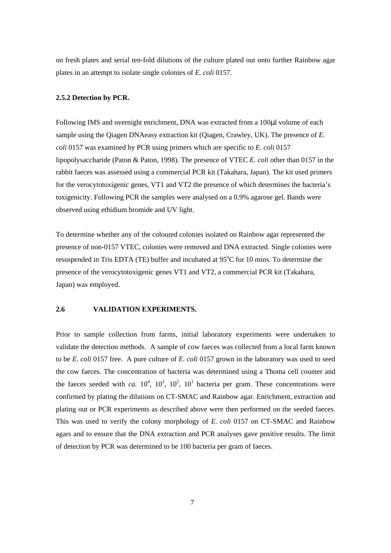on fresh plates and serial ten-fold dilutions of the culture plated out onto further Rainbow agar plates in an attempt to isolate single colonies of *E. coli* 0157.

### **2.5.2 Detection by PCR.**

Following IMS and overnight enrichment, DNA was extracted from a 100µl volume of each sample using the Qiagen DNAeasy extraction kit (Qiagen, Crawley, UK). The presence of *E. coli* 0157 was examined by PCR using primers which are specific to *E. coli* 0157 lipopolysaccharide (Paton & Paton, 1998). The presence of VTEC *E. coli* other than 0157 in the rabbit faeces was assessed using a commercial PCR kit (Takahara, Japan). The kit used primers for the verocytotoxigenic genes, VT1 and VT2 the presence of which determines the bacteria's toxigenicity. Following PCR the samples were analysed on a 0.9% agarose gel. Bands were observed using ethidium bromide and UV light.

To determine whether any of the coloured colonies isolated on Rainbow agar represented the presence of non-0157 VTEC, colonies were removed and DNA extracted. Single colonies were resuspended in Tris EDTA (TE) buffer and incubated at  $95^{\circ}$ C for 10 mins. To determine the presence of the verocytotoxigenic genes VT1 and VT2, a commercial PCR kit (Takahara, Japan) was employed.

#### **2.6 VALIDATION EXPERIMENTS.**

Prior to sample collection from farms, initial laboratory experiments were undertaken to validate the detection methods. A sample of cow faeces was collected from a local farm known to be *E. coli* 0157 free. A pure culture of *E. coli* 0157 grown in the laboratory was used to seed the cow faeces. The concentration of bacteria was determined using a Thoma cell counter and the faeces seeded with *ca*.  $10^4$ ,  $10^3$ ,  $10^2$ ,  $10^1$  bacteria per gram. These concentrations were confirmed by plating the dilutions on CT-SMAC and Rainbow agar. Enrichment, extraction and plating out or PCR experiments as described above were then performed on the seeded faeces. This was used to verify the colony morphology of *E. coli* 0157 on CT-SMAC and Rainbow agars and to ensure that the DNA extraction and PCR analyses gave positive results. The limit of detection by PCR was determined to be 100 bacteria per gram of faeces.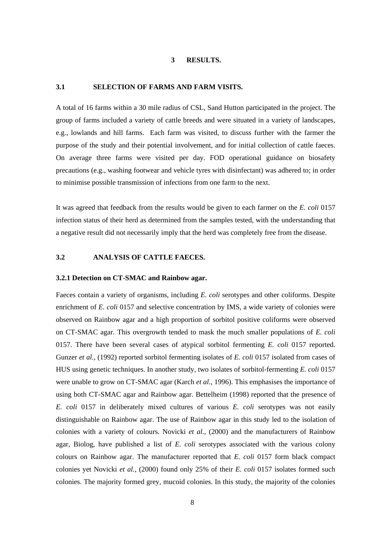### **3 RESULTS.**

### **3.1 SELECTION OF FARMS AND FARM VISITS.**

A total of 16 farms within a 30 mile radius of CSL, Sand Hutton participated in the project. The group of farms included a variety of cattle breeds and were situated in a variety of landscapes, e.g., lowlands and hill farms. Each farm was visited, to discuss further with the farmer the purpose of the study and their potential involvement, and for initial collection of cattle faeces. On average three farms were visited per day. FOD operational guidance on biosafety precautions (e.g., washing footwear and vehicle tyres with disinfectant) was adhered to; in order to minimise possible transmission of infections from one farm to the next.

It was agreed that feedback from the results would be given to each farmer on the *E. coli* 0157 infection status of their herd as determined from the samples tested, with the understanding that a negative result did not necessarily imply that the herd was completely free from the disease.

## **3.2 ANALYSIS OF CATTLE FAECES.**

#### **3.2.1 Detection on CT-SMAC and Rainbow agar.**

Faeces contain a variety of organisms, including *E. coli* serotypes and other coliforms. Despite enrichment of *E. coli* 0157 and selective concentration by IMS, a wide variety of colonies were observed on Rainbow agar and a high proportion of sorbitol positive coliforms were observed on CT-SMAC agar. This overgrowth tended to mask the much smaller populations of *E. coli* 0157. There have been several cases of atypical sorbitol fermenting *E. coli* 0157 reported. Gunzer *et al.,* (1992) reported sorbitol fermenting isolates of *E. coli* 0157 isolated from cases of HUS using genetic techniques. In another study, two isolates of sorbitol-fermenting *E. coli* 0157 were unable to grow on CT-SMAC agar (Karch *et al.,* 1996). This emphasises the importance of using both CT-SMAC agar and Rainbow agar. Bettelheim (1998) reported that the presence of *E. coli* 0157 in deliberately mixed cultures of various *E. coli* serotypes was not easily distinguishable on Rainbow agar. The use of Rainbow agar in this study led to the isolation of colonies with a variety of colours. Novicki *et al.,* (2000) and the manufacturers of Rainbow agar, Biolog, have published a list of *E. coli* serotypes associated with the various colony colours on Rainbow agar. The manufacturer reported that *E. coli* 0157 form black compact colonies yet Novicki *et al.,* (2000) found only 25% of their *E. coli* 0157 isolates formed such colonies. The majority formed grey, mucoid colonies. In this study, the majority of the colonies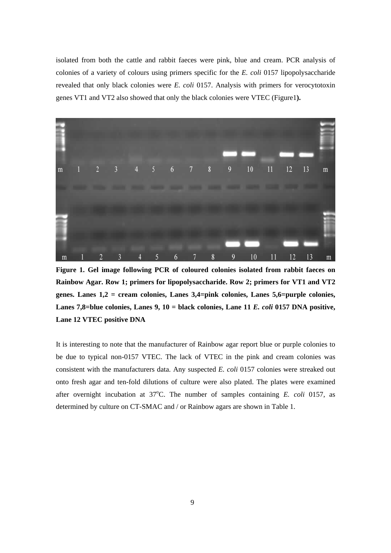isolated from both the cattle and rabbit faeces were pink, blue and cream. PCR analysis of colonies of a variety of colours using primers specific for the *E. coli* 0157 lipopolysaccharide revealed that only black colonies were *E. coli* 0157. Analysis with primers for verocytotoxin genes VT1 and VT2 also showed that only the black colonies were VTEC (Figure1**).** 



**Figure 1. Gel image following PCR of coloured colonies isolated from rabbit faeces on Rainbow Agar. Row 1; primers for lipopolysaccharide. Row 2; primers for VT1 and VT2 genes. Lanes 1,2 = cream colonies, Lanes 3,4=pink colonies, Lanes 5,6=purple colonies, Lanes 7,8=blue colonies, Lanes 9, 10 = black colonies, Lane 11** *E. coli* **0157 DNA positive, Lane 12 VTEC positive DNA**

It is interesting to note that the manufacturer of Rainbow agar report blue or purple colonies to be due to typical non-0157 VTEC. The lack of VTEC in the pink and cream colonies was consistent with the manufacturers data. Any suspected *E. coli* 0157 colonies were streaked out onto fresh agar and ten-fold dilutions of culture were also plated. The plates were examined after overnight incubation at  $37^{\circ}$ C. The number of samples containing *E. coli* 0157, as determined by culture on CT-SMAC and / or Rainbow agars are shown in Table 1.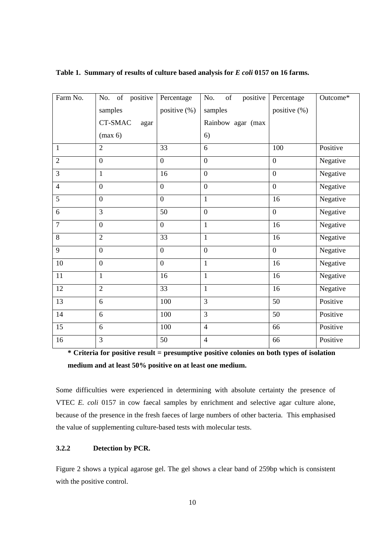| Farm No.       | of positive<br>No. | Percentage       | positive<br>of<br>No. | Percentage       | Outcome* |
|----------------|--------------------|------------------|-----------------------|------------------|----------|
|                | samples            | positive (%)     | samples               | positive (%)     |          |
|                | CT-SMAC<br>agar    |                  | Rainbow agar (max     |                  |          |
|                | (max 6)            |                  | 6)                    |                  |          |
| $\mathbf{1}$   | $\overline{2}$     | 33               | 6                     | 100              | Positive |
| $\overline{2}$ | $\boldsymbol{0}$   | $\boldsymbol{0}$ | $\boldsymbol{0}$      | $\boldsymbol{0}$ | Negative |
| 3              | $\mathbf{1}$       | 16               | $\boldsymbol{0}$      | $\boldsymbol{0}$ | Negative |
| $\overline{4}$ | $\boldsymbol{0}$   | $\overline{0}$   | $\mathbf{0}$          | $\overline{0}$   | Negative |
| 5              | $\overline{0}$     | $\overline{0}$   | $\mathbf{1}$          | 16               | Negative |
| 6              | 3                  | 50               | $\mathbf{0}$          | $\boldsymbol{0}$ | Negative |
| $\overline{7}$ | $\overline{0}$     | $\overline{0}$   | $\mathbf{1}$          | 16               | Negative |
| 8              | $\overline{2}$     | 33               | $\mathbf{1}$          | 16               | Negative |
| 9              | $\boldsymbol{0}$   | $\overline{0}$   | $\overline{0}$        | $\boldsymbol{0}$ | Negative |
| $10\,$         | $\boldsymbol{0}$   | $\mathbf{0}$     | $\mathbf{1}$          | 16               | Negative |
| 11             | $\mathbf{1}$       | 16               | $\mathbf{1}$          | 16               | Negative |
| 12             | $\overline{2}$     | 33               | $\mathbf{1}$          | 16               | Negative |
| 13             | 6                  | 100              | $\overline{3}$        | 50               | Positive |
| 14             | 6                  | 100              | $\overline{3}$        | 50               | Positive |
| 15             | 6                  | 100              | $\overline{4}$        | 66               | Positive |
| 16             | 3                  | 50               | $\overline{4}$        | 66               | Positive |

**Table 1. Summary of results of culture based analysis for** *E coli* **0157 on 16 farms.** 

**\* Criteria for positive result = presumptive positive colonies on both types of isolation medium and at least 50% positive on at least one medium.** 

Some difficulties were experienced in determining with absolute certainty the presence of VTEC *E. coli* 0157 in cow faecal samples by enrichment and selective agar culture alone, because of the presence in the fresh faeces of large numbers of other bacteria. This emphasised the value of supplementing culture-based tests with molecular tests.

### **3.2.2 Detection by PCR.**

Figure 2 shows a typical agarose gel. The gel shows a clear band of 259bp which is consistent with the positive control.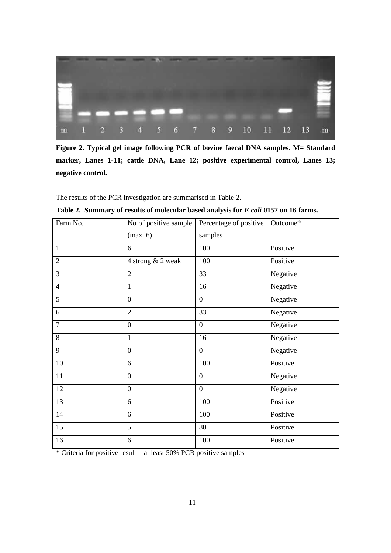

**Figure 2. Typical gel image following PCR of bovine faecal DNA samples**. **M= Standard marker, Lanes 1-11; cattle DNA, Lane 12; positive experimental control, Lanes 13; negative control.** 

The results of the PCR investigation are summarised in Table 2.

| Farm No.       | No of positive sample | Percentage of positive | Outcome* |
|----------------|-----------------------|------------------------|----------|
|                | (max. 6)              | samples                |          |
| $\mathbf{1}$   | 6                     | 100                    | Positive |
| $\overline{2}$ | 4 strong & 2 weak     | 100                    | Positive |
| 3              | $\overline{2}$        | 33                     | Negative |
| $\overline{4}$ | $\mathbf{1}$          | 16                     | Negative |
| 5              | $\overline{0}$        | $\mathbf{0}$           | Negative |
| 6              | $\overline{2}$        | 33                     | Negative |
| $\overline{7}$ | $\boldsymbol{0}$      | $\overline{0}$         | Negative |
| 8              | $\mathbf{1}$          | 16                     | Negative |
| 9              | $\overline{0}$        | $\boldsymbol{0}$       | Negative |
| $10\,$         | 6                     | 100                    | Positive |
| 11             | $\overline{0}$        | $\overline{0}$         | Negative |
| 12             | $\overline{0}$        | $\overline{0}$         | Negative |
| 13             | 6                     | 100                    | Positive |
| 14             | 6                     | 100                    | Positive |
| 15             | 5                     | 80                     | Positive |
| 16             | 6                     | 100                    | Positive |

|  |  |  |  |  |  |  |  | Table 2. Summary of results of molecular based analysis for E coli 0157 on 16 farms. |
|--|--|--|--|--|--|--|--|--------------------------------------------------------------------------------------|
|--|--|--|--|--|--|--|--|--------------------------------------------------------------------------------------|

\* Criteria for positive result = at least 50% PCR positive samples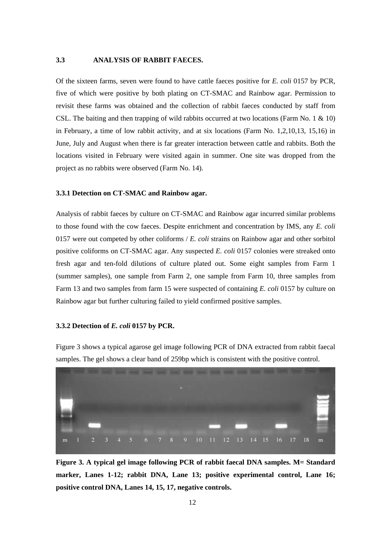### **3.3 ANALYSIS OF RABBIT FAECES.**

Of the sixteen farms, seven were found to have cattle faeces positive for *E. coli* 0157 by PCR, five of which were positive by both plating on CT-SMAC and Rainbow agar. Permission to revisit these farms was obtained and the collection of rabbit faeces conducted by staff from CSL. The baiting and then trapping of wild rabbits occurred at two locations (Farm No. 1 & 10) in February, a time of low rabbit activity, and at six locations (Farm No. 1,2,10,13, 15,16) in June, July and August when there is far greater interaction between cattle and rabbits. Both the locations visited in February were visited again in summer. One site was dropped from the project as no rabbits were observed (Farm No. 14).

### **3.3.1 Detection on CT-SMAC and Rainbow agar.**

Analysis of rabbit faeces by culture on CT-SMAC and Rainbow agar incurred similar problems to those found with the cow faeces. Despite enrichment and concentration by IMS, any *E. coli* 0157 were out competed by other coliforms / *E. coli* strains on Rainbow agar and other sorbitol positive coliforms on CT-SMAC agar. Any suspected *E. coli* 0157 colonies were streaked onto fresh agar and ten-fold dilutions of culture plated out. Some eight samples from Farm 1 (summer samples), one sample from Farm 2, one sample from Farm 10, three samples from Farm 13 and two samples from farm 15 were suspected of containing *E. coli* 0157 by culture on Rainbow agar but further culturing failed to yield confirmed positive samples.

#### **3.3.2 Detection of** *E. coli* **0157 by PCR.**



Figure 3 shows a typical agarose gel image following PCR of DNA extracted from rabbit faecal samples. The gel shows a clear band of 259bp which is consistent with the positive control.

**Figure 3. A typical gel image following PCR of rabbit faecal DNA samples. M= Standard marker, Lanes 1-12; rabbit DNA, Lane 13; positive experimental control, Lane 16; positive control DNA, Lanes 14, 15, 17, negative controls.**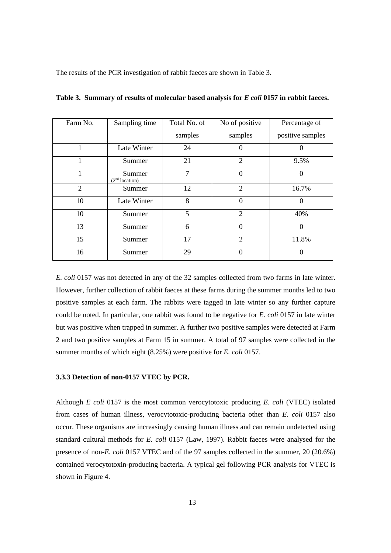The results of the PCR investigation of rabbit faeces are shown in Table 3.

| Farm No.       | Sampling time                        | Total No. of | No of positive   | Percentage of    |
|----------------|--------------------------------------|--------------|------------------|------------------|
|                |                                      | samples      | samples          | positive samples |
| 1              | Late Winter                          | 24           | 0                |                  |
|                | Summer                               | 21           | $\overline{2}$   | 9.5%             |
|                | Summer<br>(2 <sup>nd</sup> location) | $\tau$       | $\boldsymbol{0}$ | 0                |
| $\overline{2}$ | Summer                               | 12           | $\overline{2}$   | 16.7%            |
| 10             | Late Winter                          | 8            | $\boldsymbol{0}$ | 0                |
| 10             | Summer                               | 5            | $\overline{2}$   | 40%              |
| 13             | Summer                               | 6            | $\theta$         | $\Omega$         |
| 15             | Summer                               | 17           | $\overline{2}$   | 11.8%            |
| 16             | Summer                               | 29           | 0                | 0                |

**Table 3. Summary of results of molecular based analysis for** *E coli* **0157 in rabbit faeces.** 

*E. coli* 0157 was not detected in any of the 32 samples collected from two farms in late winter. However, further collection of rabbit faeces at these farms during the summer months led to two positive samples at each farm. The rabbits were tagged in late winter so any further capture could be noted. In particular, one rabbit was found to be negative for *E. coli* 0157 in late winter but was positive when trapped in summer. A further two positive samples were detected at Farm 2 and two positive samples at Farm 15 in summer. A total of 97 samples were collected in the summer months of which eight (8.25%) were positive for *E. coli* 0157.

### **3.3.3 Detection of non-0157 VTEC by PCR.**

Although *E coli* 0157 is the most common verocytotoxic producing *E. coli* (VTEC) isolated from cases of human illness, verocytotoxic-producing bacteria other than *E. coli* 0157 also occur. These organisms are increasingly causing human illness and can remain undetected using standard cultural methods for *E. coli* 0157 (Law, 1997). Rabbit faeces were analysed for the presence of non-*E. coli* 0157 VTEC and of the 97 samples collected in the summer, 20 (20.6%) contained verocytotoxin-producing bacteria. A typical gel following PCR analysis for VTEC is shown in Figure 4.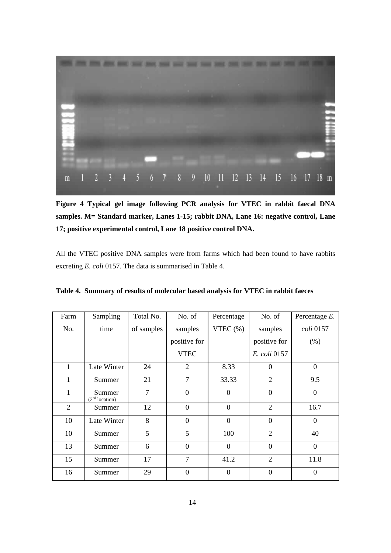

**Figure 4 Typical gel image following PCR analysis for VTEC in rabbit faecal DNA samples. M= Standard marker, Lanes 1-15; rabbit DNA, Lane 16: negative control, Lane 17; positive experimental control, Lane 18 positive control DNA.**

All the VTEC positive DNA samples were from farms which had been found to have rabbits excreting *E. coli* 0157. The data is summarised in Table 4.

|  |  |  | Table 4. Summary of results of molecular based analysis for VTEC in rabbit faeces |  |
|--|--|--|-----------------------------------------------------------------------------------|--|
|  |  |  |                                                                                   |  |

| Farm           | Sampling                             | Total No.      | No. of           | Percentage       | No. of         | Percentage $E$ . |
|----------------|--------------------------------------|----------------|------------------|------------------|----------------|------------------|
| No.            | time                                 | of samples     | samples          | VTEC $(\% )$     | samples        | coli 0157        |
|                |                                      |                | positive for     |                  | positive for   | (% )             |
|                |                                      |                | <b>VTEC</b>      |                  | E. coli 0157   |                  |
| 1              | Late Winter                          | 24             | 2                | 8.33             | $\Omega$       | $\overline{0}$   |
| 1              | Summer                               | 21             | 7                | 33.33            | $\overline{2}$ | 9.5              |
| $\mathbf{1}$   | Summer<br>(2 <sup>nd</sup> location) | $\overline{7}$ | $\overline{0}$   | $\overline{0}$   | $\theta$       | $\theta$         |
| $\overline{2}$ | Summer                               | 12             | $\Omega$         | $\overline{0}$   | $\overline{2}$ | 16.7             |
| 10             | Late Winter                          | 8              | $\theta$         | $\mathbf{0}$     | $\theta$       | $\theta$         |
| 10             | Summer                               | 5              | 5                | 100              | $\overline{2}$ | 40               |
| 13             | Summer                               | 6              | $\overline{0}$   | $\theta$         | $\overline{0}$ | $\overline{0}$   |
| 15             | Summer                               | 17             | $\overline{7}$   | 41.2             | $\overline{2}$ | 11.8             |
| 16             | Summer                               | 29             | $\boldsymbol{0}$ | $\boldsymbol{0}$ | $\mathbf{0}$   | $\overline{0}$   |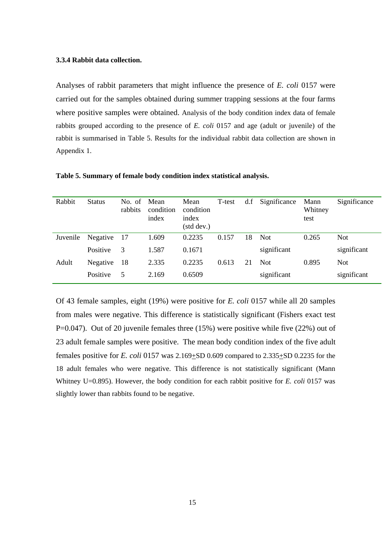#### **3.3.4 Rabbit data collection.**

Analyses of rabbit parameters that might influence the presence of *E. coli* 0157 were carried out for the samples obtained during summer trapping sessions at the four farms where positive samples were obtained. Analysis of the body condition index data of female rabbits grouped according to the presence of *E. coli* 0157 and age (adult or juvenile) of the rabbit is summarised in Table 5. Results for the individual rabbit data collection are shown in Appendix 1.

| Rabbit   | <b>Status</b> | No. of<br>rabbits | Mean<br>condition<br>index | Mean<br>condition<br>index<br>(std dev.) | T-test | df | Significance | Mann<br>Whitney<br>test | Significance |
|----------|---------------|-------------------|----------------------------|------------------------------------------|--------|----|--------------|-------------------------|--------------|
| Juvenile | Negative      | -17               | 1.609                      | 0.2235                                   | 0.157  | 18 | <b>Not</b>   | 0.265                   | Not          |
|          | Positive      | 3                 | 1.587                      | 0.1671                                   |        |    | significant  |                         | significant  |
| Adult    | Negative      | -18               | 2.335                      | 0.2235                                   | 0.613  | 21 | <b>Not</b>   | 0.895                   | <b>Not</b>   |
|          | Positive      | 5                 | 2.169                      | 0.6509                                   |        |    | significant  |                         | significant  |

**Table 5. Summary of female body condition index statistical analysis.** 

Of 43 female samples, eight (19%) were positive for *E. coli* 0157 while all 20 samples from males were negative. This difference is statistically significant (Fishers exact test P=0.047). Out of 20 juvenile females three (15%) were positive while five (22%) out of 23 adult female samples were positive. The mean body condition index of the five adult females positive for *E. coli* 0157 was 2.169+SD 0.609 compared to 2.335+SD 0.2235 for the 18 adult females who were negative. This difference is not statistically significant (Mann Whitney U=0.895). However, the body condition for each rabbit positive for *E. coli* 0157 was slightly lower than rabbits found to be negative.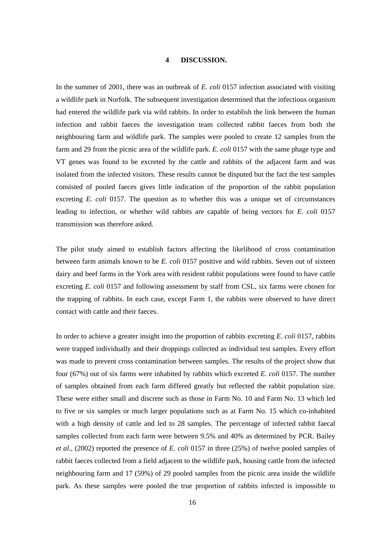#### **4 DISCUSSION.**

In the summer of 2001, there was an outbreak of *E. coli* 0157 infection associated with visiting a wildlife park in Norfolk. The subsequent investigation determined that the infectious organism had entered the wildlife park via wild rabbits. In order to establish the link between the human infection and rabbit faeces the investigation team collected rabbit faeces from both the neighbouring farm and wildlife park. The samples were pooled to create 12 samples from the farm and 29 from the picnic area of the wildlife park. *E. coli* 0157 with the same phage type and VT genes was found to be excreted by the cattle and rabbits of the adjacent farm and was isolated from the infected visitors. These results cannot be disputed but the fact the test samples consisted of pooled faeces gives little indication of the proportion of the rabbit population excreting *E. coli* 0157. The question as to whether this was a unique set of circumstances leading to infection, or whether wild rabbits are capable of being vectors for *E. coli* 0157 transmission was therefore asked.

The pilot study aimed to establish factors affecting the likelihood of cross contamination between farm animals known to be *E. coli* 0157 positive and wild rabbits. Seven out of sixteen dairy and beef farms in the York area with resident rabbit populations were found to have cattle excreting *E. coli* 0157 and following assessment by staff from CSL, six farms were chosen for the trapping of rabbits. In each case, except Farm 1, the rabbits were observed to have direct contact with cattle and their faeces.

In order to achieve a greater insight into the proportion of rabbits excreting *E. coli* 0157, rabbits were trapped individually and their droppings collected as individual test samples. Every effort was made to prevent cross contamination between samples. The results of the project show that four (67%) out of six farms were inhabited by rabbits which excreted *E. coli* 0157. The number of samples obtained from each farm differed greatly but reflected the rabbit population size. These were either small and discrete such as those in Farm No. 10 and Farm No. 13 which led to five or six samples or much larger populations such as at Farm No. 15 which co-inhabited with a high density of cattle and led to 28 samples. The percentage of infected rabbit faecal samples collected from each farm were between 9.5% and 40% as determined by PCR. Bailey *et al.,* (2002) reported the presence of *E. coli* 0157 in three (25%) of twelve pooled samples of rabbit faeces collected from a field adjacent to the wildlife park, housing cattle from the infected neighbouring farm and 17 (59%) of 29 pooled samples from the picnic area inside the wildlife park. As these samples were pooled the true proportion of rabbits infected is impossible to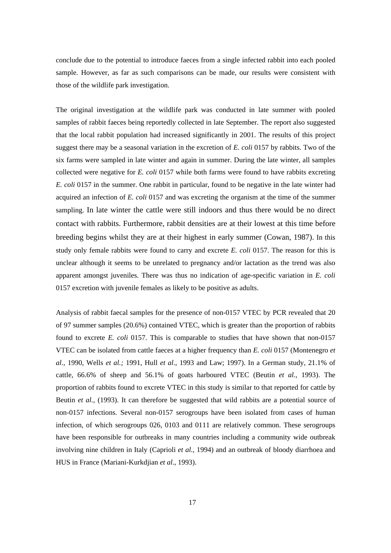conclude due to the potential to introduce faeces from a single infected rabbit into each pooled sample. However, as far as such comparisons can be made, our results were consistent with those of the wildlife park investigation.

The original investigation at the wildlife park was conducted in late summer with pooled samples of rabbit faeces being reportedly collected in late September. The report also suggested that the local rabbit population had increased significantly in 2001. The results of this project suggest there may be a seasonal variation in the excretion of *E. coli* 0157 by rabbits. Two of the six farms were sampled in late winter and again in summer. During the late winter, all samples collected were negative for *E. coli* 0157 while both farms were found to have rabbits excreting *E. coli* 0157 in the summer. One rabbit in particular, found to be negative in the late winter had acquired an infection of *E. coli* 0157 and was excreting the organism at the time of the summer sampling. In late winter the cattle were still indoors and thus there would be no direct contact with rabbits. Furthermore, rabbit densities are at their lowest at this time before breeding begins whilst they are at their highest in early summer (Cowan, 1987). In this study only female rabbits were found to carry and excrete *E. coli* 0157. The reason for this is unclear although it seems to be unrelated to pregnancy and/or lactation as the trend was also apparent amongst juveniles. There was thus no indication of age-specific variation in *E. coli* 0157 excretion with juvenile females as likely to be positive as adults.

Analysis of rabbit faecal samples for the presence of non-0157 VTEC by PCR revealed that 20 of 97 summer samples (20.6%) contained VTEC, which is greater than the proportion of rabbits found to excrete *E. coli* 0157. This is comparable to studies that have shown that non-0157 VTEC can be isolated from cattle faeces at a higher frequency than *E. coli* 0157 (Montenegro *et al*., 1990, Wells *et al.;* 1991, Hull *et al*., 1993 and Law; 1997). In a German study, 21.1% of cattle, 66.6% of sheep and 56.1% of goats harboured VTEC (Beutin *et al.*, 1993). The proportion of rabbits found to excrete VTEC in this study is similar to that reported for cattle by Beutin *et al.,* (1993). It can therefore be suggested that wild rabbits are a potential source of non-0157 infections. Several non-0157 serogroups have been isolated from cases of human infection, of which serogroups 026, 0103 and 0111 are relatively common. These serogroups have been responsible for outbreaks in many countries including a community wide outbreak involving nine children in Italy (Caprioli *et al.,* 1994) and an outbreak of bloody diarrhoea and HUS in France (Mariani-Kurkdjian *et al*., 1993).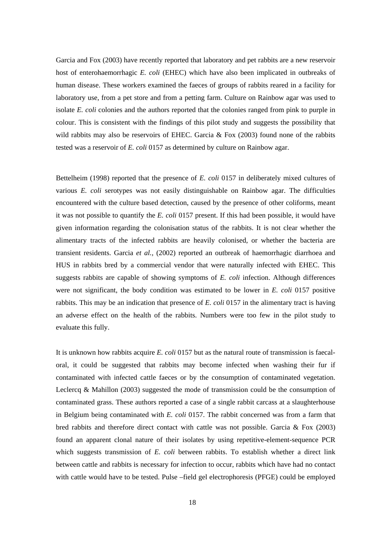Garcia and Fox (2003) have recently reported that laboratory and pet rabbits are a new reservoir host of enterohaemorrhagic *E. coli* (EHEC) which have also been implicated in outbreaks of human disease. These workers examined the faeces of groups of rabbits reared in a facility for laboratory use, from a pet store and from a petting farm. Culture on Rainbow agar was used to isolate *E. coli* colonies and the authors reported that the colonies ranged from pink to purple in colour. This is consistent with the findings of this pilot study and suggests the possibility that wild rabbits may also be reservoirs of EHEC. Garcia  $\&$  Fox (2003) found none of the rabbits tested was a reservoir of *E. coli* 0157 as determined by culture on Rainbow agar.

Bettelheim (1998) reported that the presence of *E. coli* 0157 in deliberately mixed cultures of various *E. coli* serotypes was not easily distinguishable on Rainbow agar. The difficulties encountered with the culture based detection, caused by the presence of other coliforms, meant it was not possible to quantify the *E. coli* 0157 present. If this had been possible, it would have given information regarding the colonisation status of the rabbits. It is not clear whether the alimentary tracts of the infected rabbits are heavily colonised, or whether the bacteria are transient residents. Garcia *et al.,* (2002) reported an outbreak of haemorrhagic diarrhoea and HUS in rabbits bred by a commercial vendor that were naturally infected with EHEC. This suggests rabbits are capable of showing symptoms of *E. coli* infection. Although differences were not significant, the body condition was estimated to be lower in *E. coli* 0157 positive rabbits. This may be an indication that presence of *E. coli* 0157 in the alimentary tract is having an adverse effect on the health of the rabbits. Numbers were too few in the pilot study to evaluate this fully.

It is unknown how rabbits acquire *E. coli* 0157 but as the natural route of transmission is faecaloral, it could be suggested that rabbits may become infected when washing their fur if contaminated with infected cattle faeces or by the consumption of contaminated vegetation. Leclercq & Mahillon (2003) suggested the mode of transmission could be the consumption of contaminated grass. These authors reported a case of a single rabbit carcass at a slaughterhouse in Belgium being contaminated with *E. coli* 0157. The rabbit concerned was from a farm that bred rabbits and therefore direct contact with cattle was not possible. Garcia & Fox (2003) found an apparent clonal nature of their isolates by using repetitive-element-sequence PCR which suggests transmission of *E. coli* between rabbits. To establish whether a direct link between cattle and rabbits is necessary for infection to occur, rabbits which have had no contact with cattle would have to be tested. Pulse –field gel electrophoresis (PFGE) could be employed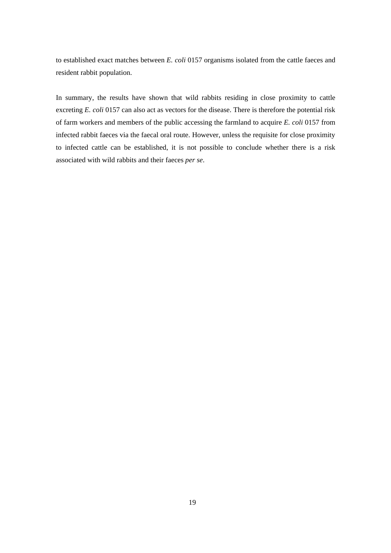to established exact matches between *E. coli* 0157 organisms isolated from the cattle faeces and resident rabbit population.

In summary, the results have shown that wild rabbits residing in close proximity to cattle excreting *E. coli* 0157 can also act as vectors for the disease. There is therefore the potential risk of farm workers and members of the public accessing the farmland to acquire *E. coli* 0157 from infected rabbit faeces via the faecal oral route. However, unless the requisite for close proximity to infected cattle can be established, it is not possible to conclude whether there is a risk associated with wild rabbits and their faeces *per se*.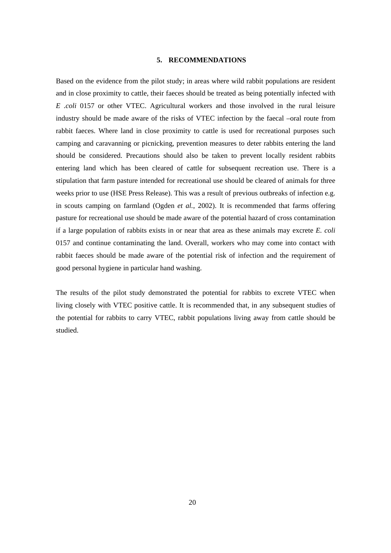### **5. RECOMMENDATIONS**

Based on the evidence from the pilot study; in areas where wild rabbit populations are resident and in close proximity to cattle, their faeces should be treated as being potentially infected with *E .coli* 0157 or other VTEC. Agricultural workers and those involved in the rural leisure industry should be made aware of the risks of VTEC infection by the faecal –oral route from rabbit faeces. Where land in close proximity to cattle is used for recreational purposes such camping and caravanning or picnicking, prevention measures to deter rabbits entering the land should be considered. Precautions should also be taken to prevent locally resident rabbits entering land which has been cleared of cattle for subsequent recreation use. There is a stipulation that farm pasture intended for recreational use should be cleared of animals for three weeks prior to use (HSE Press Release). This was a result of previous outbreaks of infection e.g. in scouts camping on farmland (Ogden *et al.*, 2002). It is recommended that farms offering pasture for recreational use should be made aware of the potential hazard of cross contamination if a large population of rabbits exists in or near that area as these animals may excrete *E. coli* 0157 and continue contaminating the land. Overall, workers who may come into contact with rabbit faeces should be made aware of the potential risk of infection and the requirement of good personal hygiene in particular hand washing.

The results of the pilot study demonstrated the potential for rabbits to excrete VTEC when living closely with VTEC positive cattle. It is recommended that, in any subsequent studies of the potential for rabbits to carry VTEC, rabbit populations living away from cattle should be studied.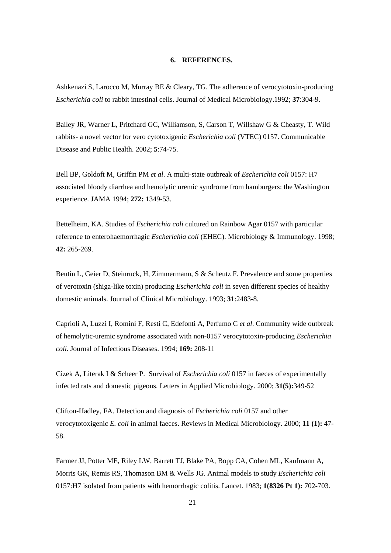### **6. REFERENCES.**

Ashkenazi S, Larocco M, Murray BE & Cleary, TG. The adherence of verocytotoxin-producing *Escherichia coli* to rabbit intestinal cells. Journal of Medical Microbiology.1992; **37**:304-9.

Bailey JR, Warner L, Pritchard GC, Williamson, S, Carson T, Willshaw G & Cheasty, T. Wild rabbits- a novel vector for vero cytotoxigenic *Escherichia coli* (VTEC) 0157. Communicable Disease and Public Health. 2002; **5**:74-75.

Bell BP, Goldoft M, Griffin PM *et al*. A multi-state outbreak of *Escherichia coli* 0157: H7 – associated bloody diarrhea and hemolytic uremic syndrome from hamburgers: the Washington experience. JAMA 1994; **272:** 1349-53.

Bettelheim, KA. Studies of *Escherichia coli* cultured on Rainbow Agar 0157 with particular reference to enterohaemorrhagic *Escherichia coli* (EHEC). Microbiology & Immunology. 1998; **42:** 265-269.

Beutin L, Geier D, Steinruck, H, Zimmermann, S & Scheutz F. Prevalence and some properties of verotoxin (shiga-like toxin) producing *Escherichia coli* in seven different species of healthy domestic animals. Journal of Clinical Microbiology. 1993; **31**:2483-8.

Caprioli A, Luzzi I, Romini F, Resti C, Edefonti A, Perfumo C *et al*. Community wide outbreak of hemolytic-uremic syndrome associated with non-0157 verocytotoxin-producing *Escherichia coli.* Journal of Infectious Diseases. 1994; **169:** 208-11

Cizek A, Literak I & Scheer P. Survival of *Escherichia coli* 0157 in faeces of experimentally infected rats and domestic pigeons. Letters in Applied Microbiology. 2000; **31(5):**349-52

Clifton-Hadley, FA. Detection and diagnosis of *Escherichia coli* 0157 and other verocytotoxigenic *E. coli* in animal faeces. Reviews in Medical Microbiology. 2000; **11 (1):** 47- 58.

Farmer JJ, Potter ME, Riley LW, Barrett TJ, Blake PA, Bopp CA, Cohen ML, Kaufmann A, Morris GK, Remis RS, Thomason BM & Wells JG. Animal models to study *Escherichia coli* 0157:H7 isolated from patients with hemorrhagic colitis. Lancet. 1983; **1(8326 Pt 1):** 702-703.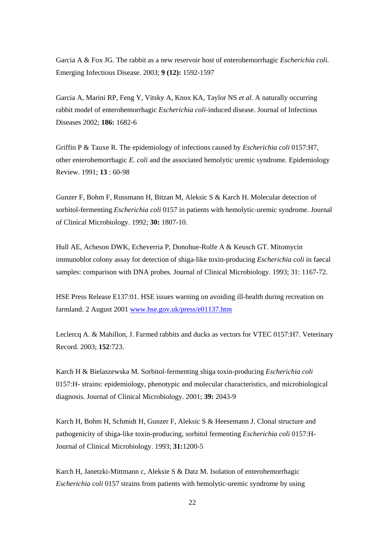Garcia A & Fox JG. The rabbit as a new reservoir host of enterohemorrhagic *Escherichia coli.* Emerging Infectious Disease. 2003; **9 (12):** 1592-1597

Garcia A, Marini RP, Feng Y, Vitsky A, Knox KA, Taylor NS *et al.* A naturally occurring rabbit model of enterohemorrhagic *Escherichia coli*-induced disease. Journal of Infectious Diseases 2002; **186:** 1682-6

Griffin P & Tauxe R. The epidemiology of infections caused by *Escherichia coli* 0157:H7, other enterohemorrhagic *E. coli* and the associated hemolytic uremic syndrome. Epidemiology Review. 1991; **13** : 60-98

Gunzer F, Bohm F, Russmann H, Bitzan M, Aleksic S & Karch H. Molecular detection of sorbitol-fermenting *Escherichia coli* 0157 in patients with hemolytic-uremic syndrome. Journal of Clinical Microbiology. 1992; **30:** 1807-10.

Hull AE, Acheson DWK, Echeverria P, Donohue-Rolfe A & Keusch GT. Mitomycin immunoblot colony assay for detection of shiga-like toxin-producing *Escherichia coli* in faecal samples: comparison with DNA probes. Journal of Clinical Microbiology. 1993; 31: 1167-72.

HSE Press Release E137:01. HSE issues warning on avoiding ill-health during recreation on farmland. 2 August 2001 www.hse.gov.uk/press/e01137.htm

Leclercq A. & Mahillon, J. Farmed rabbits and ducks as vectors for VTEC 0157:H7. Veterinary Record. 2003; **152**:723.

Karch H & Bielaszewska M. Sorbitol-fermenting shiga toxin-producing *Escherichia coli* 0157:H- strains: epidemiology, phenotypic and molecular characteristics, and microbiological diagnosis. Journal of Clinical Microbiology. 2001; **39:** 2043-9

Karch H, Bohm H, Schmidt H, Gunzer F, Aleksic S & Heesemann J. Clonal structure and pathogenicity of shiga-like toxin-producing, sorbitol fermenting *Escherichia coli* 0157:H-Journal of Clinical Microbiology. 1993; **31:**1200-5

Karch H, Janetzki-Mittmann c, Aleksie S & Datz M. Isolation of enterohemorrhagic *Escherichia coli* 0157 strains from patients with hemolytic-uremic syndrome by using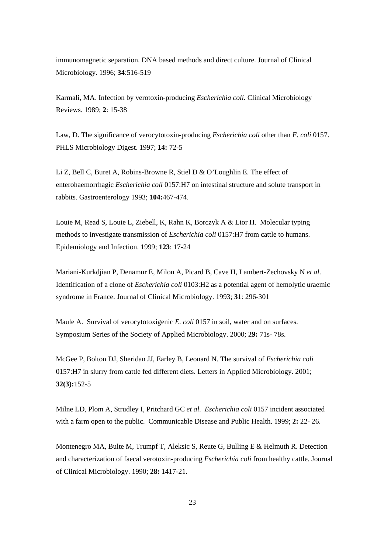immunomagnetic separation. DNA based methods and direct culture. Journal of Clinical Microbiology. 1996; **34**:516-519

Karmali, MA. Infection by verotoxin-producing *Escherichia coli.* Clinical Microbiology Reviews. 1989; **2**: 15-38

Law, D. The significance of verocytotoxin-producing *Escherichia coli* other than *E. coli* 0157. PHLS Microbiology Digest. 1997; **14:** 72-5

Li Z, Bell C, Buret A, Robins-Browne R, Stiel D & O'Loughlin E. The effect of enterohaemorrhagic *Escherichia coli* 0157:H7 on intestinal structure and solute transport in rabbits. Gastroenterology 1993; **104:**467-474.

Louie M, Read S, Louie L, Ziebell, K, Rahn K, Borczyk A & Lior H. Molecular typing methods to investigate transmission of *Escherichia coli* 0157:H7 from cattle to humans. Epidemiology and Infection. 1999; **123**: 17-24

Mariani-Kurkdjian P, Denamur E, Milon A, Picard B, Cave H, Lambert-Zechovsky N *et al*. Identification of a clone of *Escherichia coli* 0103:H2 as a potential agent of hemolytic uraemic syndrome in France. Journal of Clinical Microbiology. 1993; **31**: 296-301

Maule A. Survival of verocytotoxigenic *E. coli* 0157 in soil, water and on surfaces. Symposium Series of the Society of Applied Microbiology. 2000; **29:** 71s- 78s.

McGee P, Bolton DJ, Sheridan JJ, Earley B, Leonard N. The survival of *Escherichia coli* 0157:H7 in slurry from cattle fed different diets. Letters in Applied Microbiology. 2001; **32(3):**152-5

Milne LD, Plom A, Strudley I, Pritchard GC *et al*. *Escherichia coli* 0157 incident associated with a farm open to the public. Communicable Disease and Public Health. 1999; **2:** 22- 26.

Montenegro MA, Bulte M, Trumpf T, Aleksic S, Reute G, Bulling E & Helmuth R. Detection and characterization of faecal verotoxin-producing *Escherichia coli* from healthy cattle. Journal of Clinical Microbiology. 1990; **28:** 1417-21.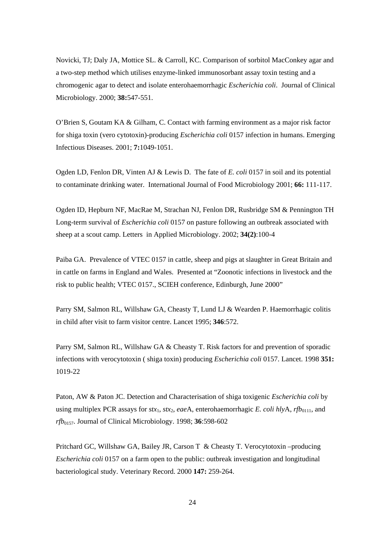Novicki, TJ; Daly JA, Mottice SL. & Carroll, KC. Comparison of sorbitol MacConkey agar and a two-step method which utilises enzyme-linked immunosorbant assay toxin testing and a chromogenic agar to detect and isolate enterohaemorrhagic *Escherichia coli*. Journal of Clinical Microbiology. 2000; **38:**547-551.

O'Brien S, Goutam KA & Gilham, C. Contact with farming environment as a major risk factor for shiga toxin (vero cytotoxin)-producing *Escherichia coli* 0157 infection in humans. Emerging Infectious Diseases. 2001; **7:**1049-1051.

Ogden LD, Fenlon DR, Vinten AJ & Lewis D. The fate of *E. coli* 0157 in soil and its potential to contaminate drinking water. International Journal of Food Microbiology 2001; **66:** 111-117.

Ogden ID, Hepburn NF, MacRae M, Strachan NJ, Fenlon DR, Rusbridge SM & Pennington TH Long-term survival of *Escherichia coli* 0157 on pasture following an outbreak associated with sheep at a scout camp. Letters in Applied Microbiology. 2002; **34(2)**:100-4

Paiba GA. Prevalence of VTEC 0157 in cattle, sheep and pigs at slaughter in Great Britain and in cattle on farms in England and Wales. Presented at "Zoonotic infections in livestock and the risk to public health; VTEC 0157., SCIEH conference, Edinburgh, June 2000"

Parry SM, Salmon RL, Willshaw GA, Cheasty T, Lund LJ & Wearden P. Haemorrhagic colitis in child after visit to farm visitor centre. Lancet 1995; **346**:572.

Parry SM, Salmon RL, Willshaw GA & Cheasty T. Risk factors for and prevention of sporadic infections with verocytotoxin ( shiga toxin) producing *Escherichia coli* 0157. Lancet. 1998 **351:** 1019-22

Paton, AW & Paton JC. Detection and Characterisation of shiga toxigenic *Escherichia coli* by using multiplex PCR assays for  $stx_1$ ,  $stx_2$ , eaeA, enterohaemorrhagic *E. coli*  $hlyA$ ,  $rfb_{0111}$ , and *rfb*0157. Journal of Clinical Microbiology. 1998; **36**:598-602

Pritchard GC, Willshaw GA, Bailey JR, Carson T & Cheasty T. Verocytotoxin –producing *Escherichia coli* 0157 on a farm open to the public: outbreak investigation and longitudinal bacteriological study. Veterinary Record. 2000 **147:** 259-264.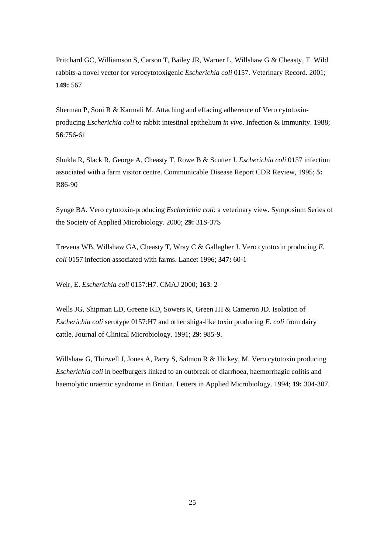Pritchard GC, Williamson S, Carson T, Bailey JR, Warner L, Willshaw G & Cheasty, T. Wild rabbits-a novel vector for verocytotoxigenic *Escherichia coli* 0157. Veterinary Record. 2001; **149:** 567

Sherman P, Soni R & Karmali M. Attaching and effacing adherence of Vero cytotoxinproducing *Escherichia coli* to rabbit intestinal epithelium *in vivo*. Infection & Immunity. 1988; **56**:756-61

Shukla R, Slack R, George A, Cheasty T, Rowe B & Scutter J. *Escherichia coli* 0157 infection associated with a farm visitor centre. Communicable Disease Report CDR Review, 1995; **5:** R86-90

Synge BA. Vero cytotoxin-producing *Escherichia coli*: a veterinary view. Symposium Series of the Society of Applied Microbiology. 2000; **29:** 31S-37S

Trevena WB, Willshaw GA, Cheasty T, Wray C & Gallagher J. Vero cytotoxin producing *E. coli* 0157 infection associated with farms. Lancet 1996; **347:** 60-1

Weir, E. *Escherichia coli* 0157:H7. CMAJ 2000; **163**: 2

Wells JG, Shipman LD, Greene KD, Sowers K, Green JH & Cameron JD. Isolation of *Escherichia coli* serotype 0157:H7 and other shiga-like toxin producing *E. coli* from dairy cattle. Journal of Clinical Microbiology. 1991; **29**: 985-9.

Willshaw G, Thirwell J, Jones A, Parry S, Salmon R & Hickey, M. Vero cytotoxin producing *Escherichia coli* in beefburgers linked to an outbreak of diarrhoea, haemorrhagic colitis and haemolytic uraemic syndrome in Britian. Letters in Applied Microbiology. 1994; **19:** 304-307.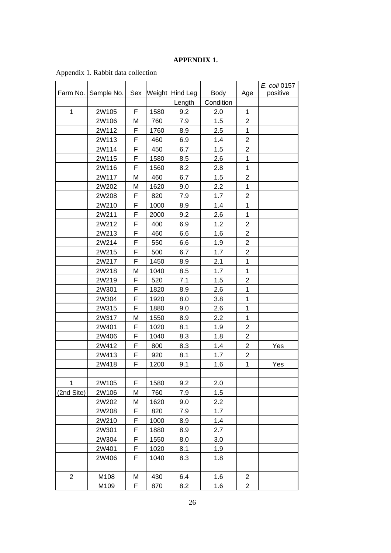# **APPENDIX 1.**

|                |            |     |      |                 |             |                | E. coli 0157 |
|----------------|------------|-----|------|-----------------|-------------|----------------|--------------|
| Farm No.       | Sample No. | Sex |      | Weight Hind Leg | <b>Body</b> | Age            | positive     |
|                |            |     |      | Length          | Condition   |                |              |
| 1              | 2W105      | F   | 1580 | 9.2             | 2.0         | $\mathbf 1$    |              |
|                | 2W106      | М   | 760  | 7.9             | 1.5         | 2              |              |
|                | 2W112      | F   | 1760 | 8.9             | 2.5         | $\mathbf 1$    |              |
|                | 2W113      | F   | 460  | 6.9             | 1.4         | $\overline{c}$ |              |
|                | 2W114      | F   | 450  | 6.7             | 1.5         | $\overline{2}$ |              |
|                | 2W115      | F   | 1580 | 8.5             | 2.6         | 1              |              |
|                | 2W116      | F   | 1560 | 8.2             | 2.8         | 1              |              |
|                | 2W117      | M   | 460  | 6.7             | 1.5         | $\overline{c}$ |              |
|                | 2W202      | M   | 1620 | 9.0             | 2.2         | 1              |              |
|                | 2W208      | F   | 820  | 7.9             | 1.7         | $\overline{2}$ |              |
|                | 2W210      | F   | 1000 | 8.9             | 1.4         | 1              |              |
|                | 2W211      | F   | 2000 | 9.2             | 2.6         | 1              |              |
|                | 2W212      | F   | 400  | 6.9             | 1.2         | 2              |              |
|                | 2W213      | F   | 460  | 6.6             | 1.6         | $\overline{2}$ |              |
|                | 2W214      | F   | 550  | 6.6             | 1.9         | $\overline{2}$ |              |
|                | 2W215      | F   | 500  | 6.7             | 1.7         | $\overline{c}$ |              |
|                | 2W217      | F   | 1450 | 8.9             | 2.1         | 1              |              |
|                | 2W218      | M   | 1040 | 8.5             | 1.7         | 1              |              |
|                | 2W219      | F   | 520  | 7.1             | 1.5         | $\overline{2}$ |              |
|                | 2W301      | F   | 1820 | 8.9             | 2.6         | 1              |              |
|                | 2W304      | F   | 1920 | 8.0             | 3.8         | 1              |              |
|                | 2W315      | F   | 1880 | 9.0             | 2.6         | 1              |              |
|                | 2W317      | M   | 1550 | 8.9             | 2.2         | 1              |              |
|                | 2W401      | F   | 1020 | 8.1             | 1.9         | $\overline{c}$ |              |
|                | 2W406      | F   | 1040 | 8.3             | 1.8         | $\overline{2}$ |              |
|                | 2W412      | F   | 800  | 8.3             | 1.4         | $\overline{2}$ | Yes          |
|                | 2W413      | F   | 920  | 8.1             | 1.7         | $\overline{2}$ |              |
|                | 2W418      | F   | 1200 | 9.1             | 1.6         | 1              | Yes          |
|                |            |     |      |                 |             |                |              |
| 1              | 2W105      | F   | 1580 | 9.2             | 2.0         |                |              |
| (2nd Site)     | 2W106      | M   | 760  | 7.9             | 1.5         |                |              |
|                | 2W202      | M   | 1620 | 9.0             | 2.2         |                |              |
|                | 2W208      | F   | 820  | 7.9             | 1.7         |                |              |
|                | 2W210      | F   | 1000 | 8.9             | 1.4         |                |              |
|                | 2W301      | F   | 1880 | 8.9             | 2.7         |                |              |
|                | 2W304      | F   | 1550 | 8.0             | 3.0         |                |              |
|                | 2W401      | F   | 1020 | 8.1             | 1.9         |                |              |
|                | 2W406      | F   | 1040 | 8.3             | 1.8         |                |              |
|                |            |     |      |                 |             |                |              |
| $\overline{c}$ | M108       | M   | 430  | 6.4             | 1.6         | 2              |              |
|                | M109       | F   | 870  | 8.2             | 1.6         | $\overline{2}$ |              |
|                |            |     |      |                 |             |                |              |

Appendix 1. Rabbit data collection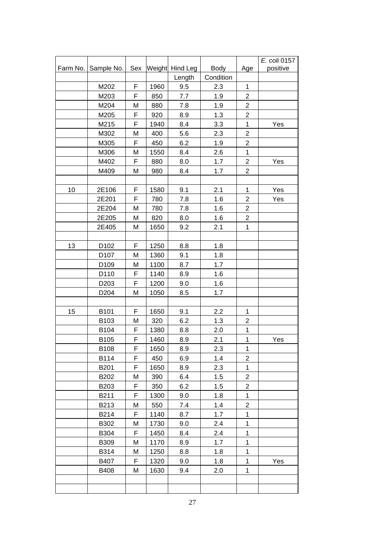|          |                  |     |      |                 |             |                | E. coli 0157 |
|----------|------------------|-----|------|-----------------|-------------|----------------|--------------|
| Farm No. | Sample No.       | Sex |      | Weight Hind Leg | <b>Body</b> | Age            | positive     |
|          |                  |     |      | Length          | Condition   |                |              |
|          | M202             | F   | 1960 | 9.5             | 2.3         | $\mathbf 1$    |              |
|          | M203             | F   | 850  | 7.7             | 1.9         | $\overline{2}$ |              |
|          | M204             | M   | 880  | 7.8             | 1.9         | $\overline{2}$ |              |
|          | M205             | F   | 920  | 8.9             | 1.3         | $\overline{2}$ |              |
|          | M215             | F   | 1940 | 8.4             | 3.3         | $\mathbf{1}$   | Yes          |
|          | M302             | M   | 400  | 5.6             | 2.3         | $\overline{2}$ |              |
|          | M305             | F   | 450  | 6.2             | 1.9         | $\overline{2}$ |              |
|          | M306             | M   | 1550 | 8.4             | 2.6         | $\mathbf{1}$   |              |
|          | M402             | F   | 880  | 8.0             | 1.7         | $\overline{c}$ | Yes          |
|          | M409             | M   | 980  | 8.4             | 1.7         | $\overline{2}$ |              |
|          |                  |     |      |                 |             |                |              |
| 10       | 2E106            | F   | 1580 | 9.1             | 2.1         | 1              | Yes          |
|          | 2E201            | F   | 780  | 7.8             | 1.6         | $\overline{2}$ | Yes          |
|          | 2E204            | M   | 780  | 7.8             | 1.6         | $\overline{2}$ |              |
|          | 2E205            | М   | 820  | 8.0             | 1.6         | $\overline{2}$ |              |
|          | 2E405            | M   | 1650 | 9.2             | 2.1         | $\mathbf{1}$   |              |
|          |                  |     |      |                 |             |                |              |
| 13       | D <sub>102</sub> | F   | 1250 | 8.8             | 1.8         |                |              |
|          | D <sub>107</sub> | M   | 1360 | 9.1             | 1.8         |                |              |
|          | D <sub>109</sub> | M   | 1100 | 8.7             | 1.7         |                |              |
|          | D110             | F   | 1140 | 8.9             | 1.6         |                |              |
|          | D <sub>203</sub> | F   | 1200 | 9.0             | 1.6         |                |              |
|          | D <sub>204</sub> | M   | 1050 | 8.5             | 1.7         |                |              |
|          |                  |     |      |                 |             |                |              |
| 15       | B101             | F   | 1650 | 9.1             | 2.2         | $\mathbf 1$    |              |
|          | B103             | M   | 320  | 6.2             | 1.3         | $\overline{2}$ |              |
|          | B104             | F   | 1380 | 8.8             | 2.0         | $\mathbf{1}$   |              |
|          | B105             | F   | 1460 | 8.9             | 2.1         | 1              | Yes          |
|          | B108             | F   | 1650 | 8.9             | 2.3         | $\mathbf{1}$   |              |
|          | B114             | F   | 450  | 6.9             | 1.4         | $\overline{2}$ |              |
|          | B201             | F   | 1650 | 8.9             | 2.3         | $\mathbf{1}$   |              |
|          | B202             | M   | 390  | 6.4             | 1.5         | $\overline{2}$ |              |
|          | B203             | F   | 350  | 6.2             | 1.5         | $\overline{c}$ |              |
|          | B211             | F   | 1300 | 9.0             | 1.8         | $\mathbf{1}$   |              |
|          | B213             | M   | 550  | 7.4             | 1.4         | $\overline{2}$ |              |
|          | B214             | F   | 1140 | 8.7             | 1.7         | $\mathbf{1}$   |              |
|          | B302             | М   | 1730 | 9.0             | 2.4         | $\mathbf{1}$   |              |
|          | B304             | F   | 1450 | 8.4             | 2.4         | $\mathbf{1}$   |              |
|          | <b>B309</b>      | M   | 1170 | 8.9             | 1.7         | $\mathbf{1}$   |              |
|          | B314             | М   | 1250 | 8.8             | 1.8         | $\mathbf{1}$   |              |
|          | B407             | F   | 1320 | 9.0             | 1.8         | $\mathbf{1}$   | Yes          |
|          | <b>B408</b>      | M   | 1630 | 9.4             | 2.0         | $\mathbf{1}$   |              |
|          |                  |     |      |                 |             |                |              |
|          |                  |     |      |                 |             |                |              |